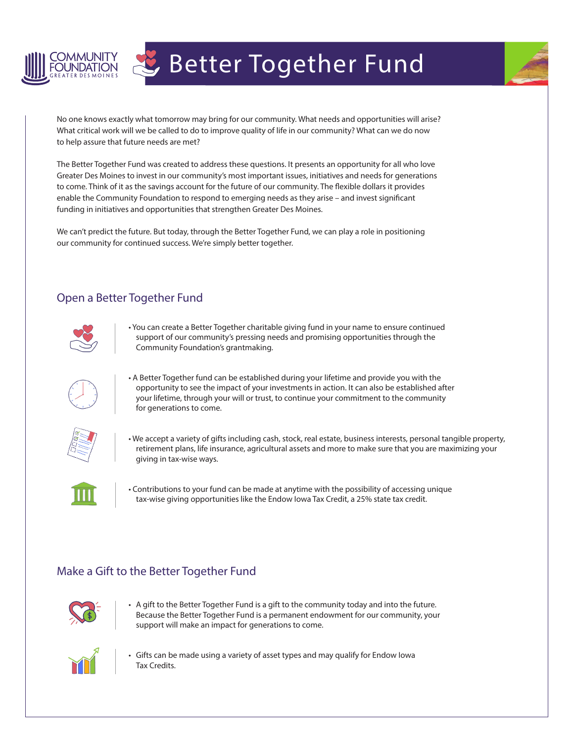

## Better Together Fund



No one knows exactly what tomorrow may bring for our community. What needs and opportunities will arise? What critical work will we be called to do to improve quality of life in our community? What can we do now to help assure that future needs are met?

The Better Together Fund was created to address these questions. It presents an opportunity for all who love Greater Des Moines to invest in our community's most important issues, initiatives and needs for generations to come. Think of it as the savings account for the future of our community. The flexible dollars it provides enable the Community Foundation to respond to emerging needs as they arise – and invest significant funding in initiatives and opportunities that strengthen Greater Des Moines.

We can't predict the future. But today, through the Better Together Fund, we can play a role in positioning our community for continued success. We're simply better together.

### Open a Better Together Fund



• You can create a Better Together charitable giving fund in your name to ensure continued support of our community's pressing needs and promising opportunities through the Community Foundation's grantmaking.



• A Better Together fund can be established during your lifetime and provide you with the opportunity to see the impact of your investments in action. It can also be established after your lifetime, through your will or trust, to continue your commitment to the community for generations to come.



• We accept a variety of gifts including cash, stock, real estate, business interests, personal tangible property, retirement plans, life insurance, agricultural assets and more to make sure that you are maximizing your giving in tax-wise ways.



• Contributions to your fund can be made at anytime with the possibility of accessing unique tax-wise giving opportunities like the Endow Iowa Tax Credit, a 25% state tax credit.

#### Make a Gift to the Better Together Fund



• A gift to the Better Together Fund is a gift to the community today and into the future. Because the Better Together Fund is a permanent endowment for our community, your support will make an impact for generations to come.



• Gifts can be made using a variety of asset types and may qualify for Endow Iowa Tax Credits.